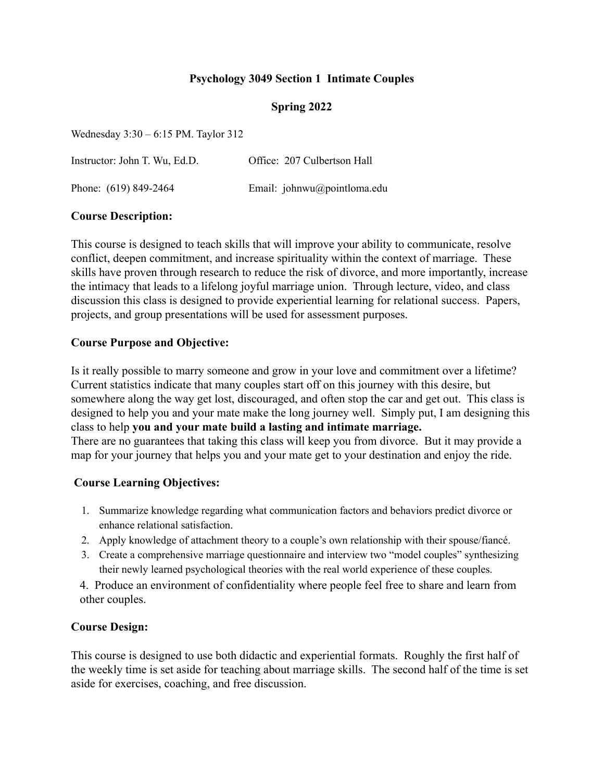## **Psychology 3049 Section 1 Intimate Couples**

#### **Spring 2022**

Wednesday 3:30 – 6:15 PM. Taylor 312

| Instructor: John T. Wu, Ed.D. | Office: 207 Culbertson Hall |
|-------------------------------|-----------------------------|
| Phone: (619) 849-2464         | Email: johnwu@pointloma.edu |

#### **Course Description:**

This course is designed to teach skills that will improve your ability to communicate, resolve conflict, deepen commitment, and increase spirituality within the context of marriage. These skills have proven through research to reduce the risk of divorce, and more importantly, increase the intimacy that leads to a lifelong joyful marriage union. Through lecture, video, and class discussion this class is designed to provide experiential learning for relational success. Papers, projects, and group presentations will be used for assessment purposes.

#### **Course Purpose and Objective:**

Is it really possible to marry someone and grow in your love and commitment over a lifetime? Current statistics indicate that many couples start off on this journey with this desire, but somewhere along the way get lost, discouraged, and often stop the car and get out. This class is designed to help you and your mate make the long journey well. Simply put, I am designing this class to help **you and your mate build a lasting and intimate marriage.** There are no guarantees that taking this class will keep you from divorce. But it may provide a map for your journey that helps you and your mate get to your destination and enjoy the ride.

### **Course Learning Objectives:**

- 1. Summarize knowledge regarding what communication factors and behaviors predict divorce or enhance relational satisfaction.
- 2. Apply knowledge of attachment theory to a couple's own relationship with their spouse/fiancé.
- 3. Create a comprehensive marriage questionnaire and interview two "model couples" synthesizing their newly learned psychological theories with the real world experience of these couples.

4. Produce an environment of confidentiality where people feel free to share and learn from other couples.

### **Course Design:**

This course is designed to use both didactic and experiential formats. Roughly the first half of the weekly time is set aside for teaching about marriage skills. The second half of the time is set aside for exercises, coaching, and free discussion.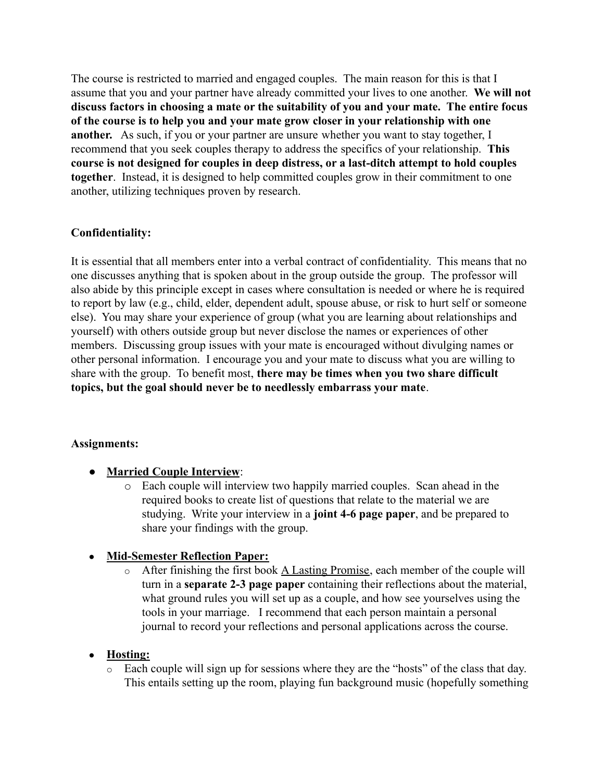The course is restricted to married and engaged couples. The main reason for this is that I assume that you and your partner have already committed your lives to one another. **We will not discuss factors in choosing a mate or the suitability of you and your mate. The entire focus of the course is to help you and your mate grow closer in your relationship with one another.** As such, if you or your partner are unsure whether you want to stay together, I recommend that you seek couples therapy to address the specifics of your relationship. **This course is not designed for couples in deep distress, or a last-ditch attempt to hold couples together**. Instead, it is designed to help committed couples grow in their commitment to one another, utilizing techniques proven by research.

## **Confidentiality:**

It is essential that all members enter into a verbal contract of confidentiality. This means that no one discusses anything that is spoken about in the group outside the group. The professor will also abide by this principle except in cases where consultation is needed or where he is required to report by law (e.g., child, elder, dependent adult, spouse abuse, or risk to hurt self or someone else). You may share your experience of group (what you are learning about relationships and yourself) with others outside group but never disclose the names or experiences of other members. Discussing group issues with your mate is encouraged without divulging names or other personal information. I encourage you and your mate to discuss what you are willing to share with the group. To benefit most, **there may be times when you two share difficult topics, but the goal should never be to needlessly embarrass your mate**.

#### **Assignments:**

- **Married Couple Interview**:
	- o Each couple will interview two happily married couples. Scan ahead in the required books to create list of questions that relate to the material we are studying. Write your interview in a **joint 4-6 page paper**, and be prepared to share your findings with the group.

### ● **Mid-Semester Reflection Paper:**

 $\circ$  After finishing the first book <u>A Lasting Promise</u>, each member of the couple will turn in a **separate 2-3 page paper** containing their reflections about the material, what ground rules you will set up as a couple, and how see yourselves using the tools in your marriage. I recommend that each person maintain a personal journal to record your reflections and personal applications across the course.

### ● **Hosting:**

o Each couple will sign up for sessions where they are the "hosts" of the class that day. This entails setting up the room, playing fun background music (hopefully something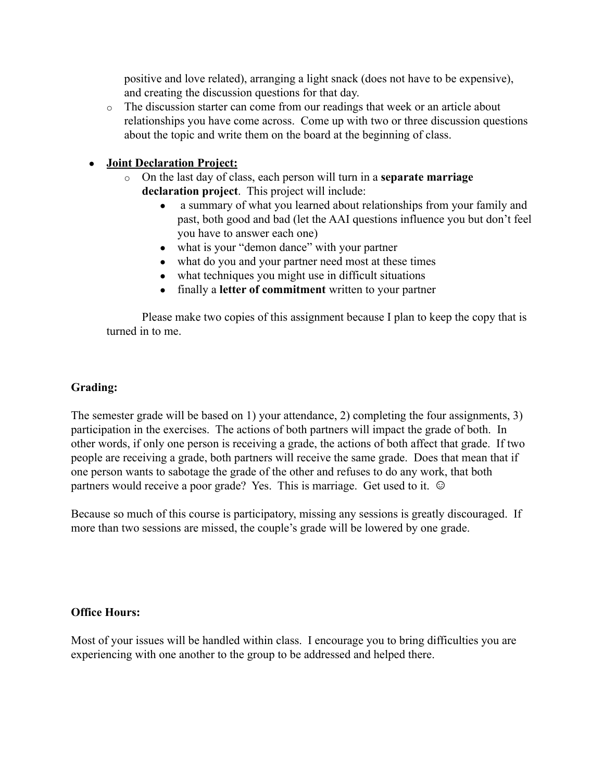positive and love related), arranging a light snack (does not have to be expensive), and creating the discussion questions for that day.

o The discussion starter can come from our readings that week or an article about relationships you have come across. Come up with two or three discussion questions about the topic and write them on the board at the beginning of class.

## ● **Joint Declaration Project:**

- o On the last day of class, each person will turn in a **separate marriage declaration project**. This project will include:
	- a summary of what you learned about relationships from your family and past, both good and bad (let the AAI questions influence you but don't feel you have to answer each one)
	- what is your "demon dance" with your partner
	- what do you and your partner need most at these times
	- what techniques you might use in difficult situations
	- finally a **letter of commitment** written to your partner

Please make two copies of this assignment because I plan to keep the copy that is turned in to me.

## **Grading:**

The semester grade will be based on 1) your attendance, 2) completing the four assignments, 3) participation in the exercises. The actions of both partners will impact the grade of both. In other words, if only one person is receiving a grade, the actions of both affect that grade. If two people are receiving a grade, both partners will receive the same grade. Does that mean that if one person wants to sabotage the grade of the other and refuses to do any work, that both partners would receive a poor grade? Yes. This is marriage. Get used to it.  $\odot$ 

Because so much of this course is participatory, missing any sessions is greatly discouraged. If more than two sessions are missed, the couple's grade will be lowered by one grade.

### **Office Hours:**

Most of your issues will be handled within class. I encourage you to bring difficulties you are experiencing with one another to the group to be addressed and helped there.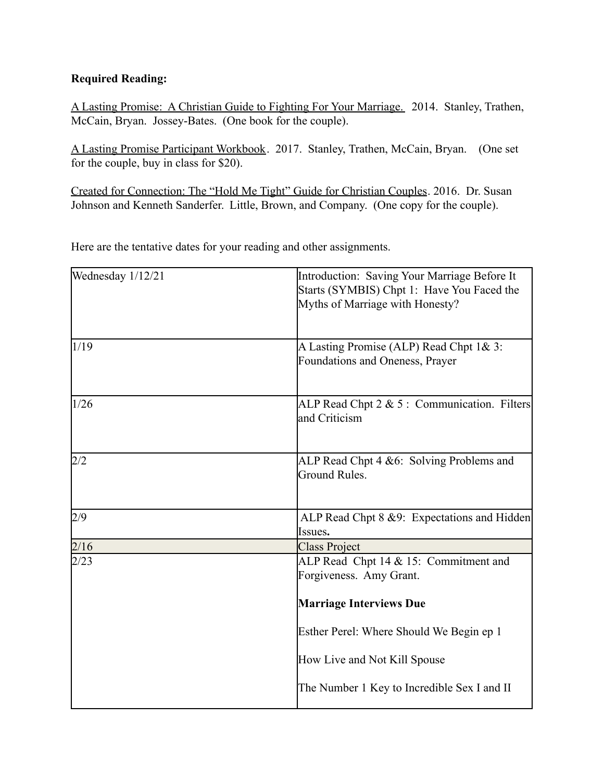### **Required Reading:**

A Lasting Promise: A Christian Guide to Fighting For Your Marriage. 2014. Stanley, Trathen, McCain, Bryan. Jossey-Bates. (One book for the couple).

A Lasting Promise Participant Workbook. 2017. Stanley, Trathen, McCain, Bryan. (One set for the couple, buy in class for \$20).

Created for Connection: The "Hold Me Tight" Guide for Christian Couples. 2016. Dr. Susan Johnson and Kenneth Sanderfer. Little, Brown, and Company. (One copy for the couple).

Here are the tentative dates for your reading and other assignments.

| Wednesday 1/12/21 | Introduction: Saving Your Marriage Before It<br>Starts (SYMBIS) Chpt 1: Have You Faced the<br>Myths of Marriage with Honesty? |
|-------------------|-------------------------------------------------------------------------------------------------------------------------------|
| 1/19              | A Lasting Promise (ALP) Read Chpt 1& 3:<br>Foundations and Oneness, Prayer                                                    |
| 1/26              | ALP Read Chpt $2 \& 5$ : Communication. Filters<br>and Criticism                                                              |
| 2/2               | ALP Read Chpt 4 &6: Solving Problems and<br>Ground Rules.                                                                     |
| 2/9               | ALP Read Chpt 8 &9: Expectations and Hidden<br>Issues.                                                                        |
| 2/16              | <b>Class Project</b>                                                                                                          |
| 2/23              | ALP Read Chpt 14 & 15: Commitment and<br>Forgiveness. Amy Grant.                                                              |
|                   | <b>Marriage Interviews Due</b>                                                                                                |
|                   | Esther Perel: Where Should We Begin ep 1                                                                                      |
|                   | How Live and Not Kill Spouse                                                                                                  |
|                   | The Number 1 Key to Incredible Sex I and II                                                                                   |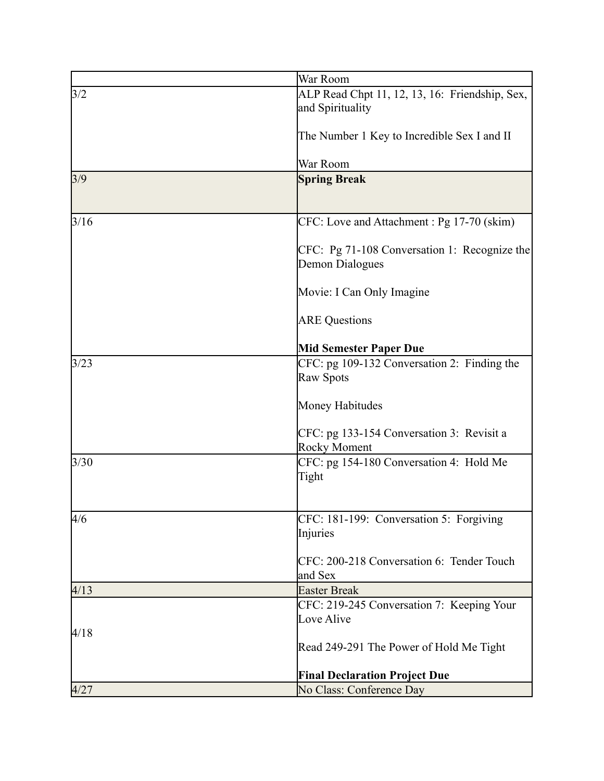|      | War Room                                       |
|------|------------------------------------------------|
| 3/2  | ALP Read Chpt 11, 12, 13, 16: Friendship, Sex, |
|      | and Spirituality                               |
|      |                                                |
|      | The Number 1 Key to Incredible Sex I and II    |
|      | War Room                                       |
| 3/9  | <b>Spring Break</b>                            |
|      |                                                |
| 3/16 | CFC: Love and Attachment : Pg 17-70 (skim)     |
|      | CFC: Pg 71-108 Conversation 1: Recognize the   |
|      | Demon Dialogues                                |
|      | Movie: I Can Only Imagine                      |
|      | <b>ARE Questions</b>                           |
|      | <b>Mid Semester Paper Due</b>                  |
| 3/23 | CFC: pg 109-132 Conversation 2: Finding the    |
|      | Raw Spots                                      |
|      | Money Habitudes                                |
|      |                                                |
|      | CFC: pg 133-154 Conversation 3: Revisit a      |
|      | <b>Rocky Moment</b>                            |
| 3/30 | CFC: pg 154-180 Conversation 4: Hold Me        |
|      | Tight                                          |
|      |                                                |
| 4/6  | CFC: 181-199: Conversation 5: Forgiving        |
|      | Injuries                                       |
|      | CFC: 200-218 Conversation 6: Tender Touch      |
|      | and Sex                                        |
| 4/13 | <b>Easter Break</b>                            |
|      | CFC: 219-245 Conversation 7: Keeping Your      |
| 4/18 | Love Alive                                     |
|      | Read 249-291 The Power of Hold Me Tight        |
|      |                                                |
|      | <b>Final Declaration Project Due</b>           |
| 4/27 | No Class: Conference Day                       |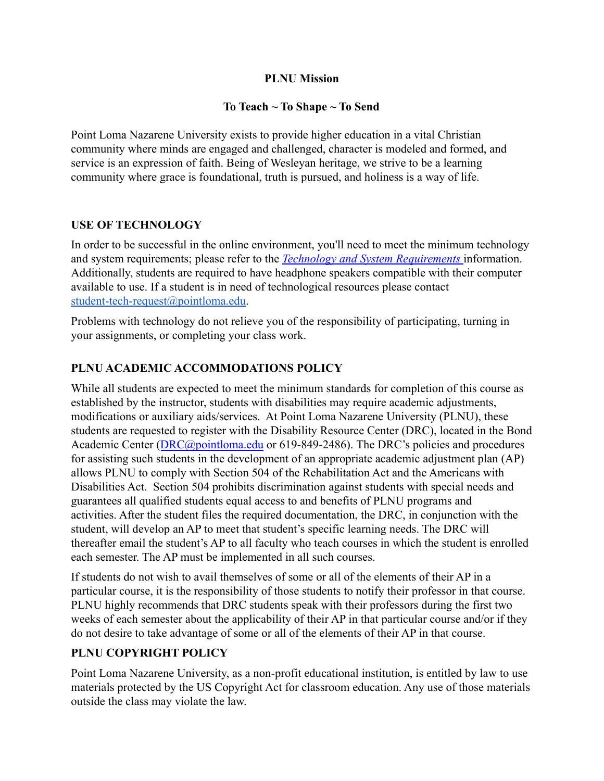### **PLNU Mission**

### **To Teach ~ To Shape ~ To Send**

Point Loma Nazarene University exists to provide higher education in a vital Christian community where minds are engaged and challenged, character is modeled and formed, and service is an expression of faith. Being of Wesleyan heritage, we strive to be a learning community where grace is foundational, truth is pursued, and holiness is a way of life.

## **USE OF TECHNOLOGY**

In order to be successful in the online environment, you'll need to meet the minimum technology and system requirements; please refer to the *Technology [and System Requirements](https://help.pointloma.edu/TDClient/1808/Portal/KB/ArticleDet?ID=108349)* information. Additionally, students are required to have headphone speakers compatible with their computer available to use. If a student is in need of technological resources please contact [student-tech-request@pointloma.edu](mailto:student-tech-request@pointloma.edu).

Problems with technology do not relieve you of the responsibility of participating, turning in your assignments, or completing your class work.

## **PLNU ACADEMIC ACCOMMODATIONS POLICY**

While all students are expected to meet the minimum standards for completion of this course as established by the instructor, students with disabilities may require academic adjustments, modifications or auxiliary aids/services. At Point Loma Nazarene University (PLNU), these students are requested to register with the Disability Resource Center (DRC), located in the Bond Academic Center ([DRC@pointloma.edu](mailto:DRC@pointloma.edu) or 619-849-2486). The DRC's policies and procedures for assisting such students in the development of an appropriate academic adjustment plan (AP) allows PLNU to comply with Section 504 of the Rehabilitation Act and the Americans with Disabilities Act. Section 504 prohibits discrimination against students with special needs and guarantees all qualified students equal access to and benefits of PLNU programs and activities. After the student files the required documentation, the DRC, in conjunction with the student, will develop an AP to meet that student's specific learning needs. The DRC will thereafter email the student's AP to all faculty who teach courses in which the student is enrolled each semester. The AP must be implemented in all such courses.

If students do not wish to avail themselves of some or all of the elements of their AP in a particular course, it is the responsibility of those students to notify their professor in that course. PLNU highly recommends that DRC students speak with their professors during the first two weeks of each semester about the applicability of their AP in that particular course and/or if they do not desire to take advantage of some or all of the elements of their AP in that course.

## **PLNU COPYRIGHT POLICY**

Point Loma Nazarene University, as a non-profit educational institution, is entitled by law to use materials protected by the US Copyright Act for classroom education. Any use of those materials outside the class may violate the law.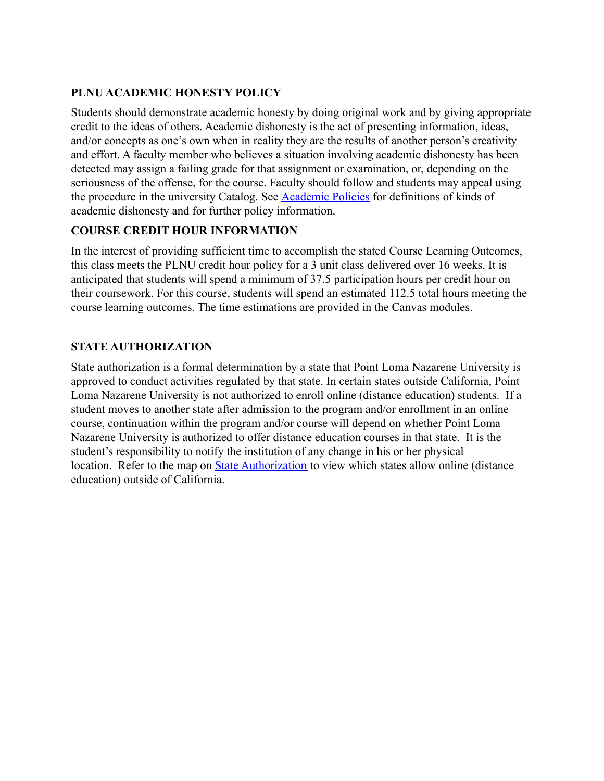## **PLNU ACADEMIC HONESTY POLICY**

Students should demonstrate academic honesty by doing original work and by giving appropriate credit to the ideas of others. Academic dishonesty is the act of presenting information, ideas, and/or concepts as one's own when in reality they are the results of another person's creativity and effort. A faculty member who believes a situation involving academic dishonesty has been detected may assign a failing grade for that assignment or examination, or, depending on the seriousness of the offense, for the course. Faculty should follow and students may appeal using the procedure in the university Catalog. See [Academic](https://catalog.pointloma.edu/content.php?catoid=41&navoid=2435#Academic_Honesty) Policies for definitions of kinds of academic dishonesty and for further policy information.

## **COURSE CREDIT HOUR INFORMATION**

In the interest of providing sufficient time to accomplish the stated Course Learning Outcomes, this class meets the PLNU credit hour policy for a 3 unit class delivered over 16 weeks. It is anticipated that students will spend a minimum of 37.5 participation hours per credit hour on their coursework. For this course, students will spend an estimated 112.5 total hours meeting the course learning outcomes. The time estimations are provided in the Canvas modules.

# **STATE AUTHORIZATION**

State authorization is a formal determination by a state that Point Loma Nazarene University is approved to conduct activities regulated by that state. In certain states outside California, Point Loma Nazarene University is not authorized to enroll online (distance education) students. If a student moves to another state after admission to the program and/or enrollment in an online course, continuation within the program and/or course will depend on whether Point Loma Nazarene University is authorized to offer distance education courses in that state. It is the student's responsibility to notify the institution of any change in his or her physical location. Refer to the map on [State Authorization](https://www.pointloma.edu/offices/office-institutional-effectiveness-research/disclosures) to view which states allow online (distance education) outside of California.